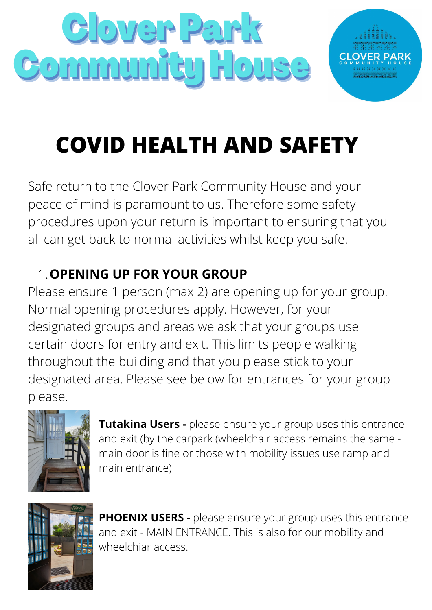

## **COVID HEALTH AND SAFETY**

Safe return to the Clover Park Community House and your peace of mind is paramount to us. Therefore some safety procedures upon your return is important to ensuring that you all can get back to normal activities whilst keep you safe.

## **OPENING UP FOR YOUR GROUP** 1.

Please ensure 1 person (max 2) are opening up for your group. Normal opening procedures apply. However, for your designated groups and areas we ask that your groups use certain doors for entry and exit. This limits people walking throughout the building and that you please stick to your designated area. Please see below for entrances for your group please.



**Tutakina Users -** please ensure your group uses this entrance and exit (by the carpark (wheelchair access remains the same main door is fine or those with mobility issues use ramp and main entrance)



**PHOENIX USERS -** please ensure your group uses this entrance and exit - MAIN ENTRANCE. This is also for our mobility and wheelchiar access.